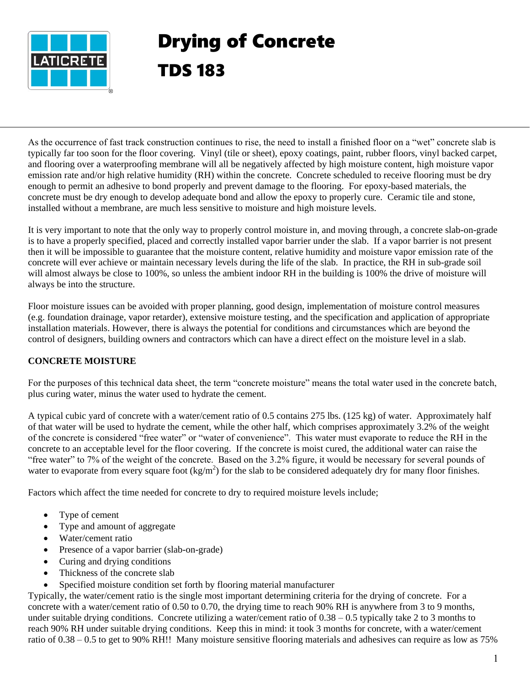

# Drying of Concrete TDS 183

As the occurrence of fast track construction continues to rise, the need to install a finished floor on a "wet" concrete slab is typically far too soon for the floor covering. Vinyl (tile or sheet), epoxy coatings, paint, rubber floors, vinyl backed carpet, and flooring over a waterproofing membrane will all be negatively affected by high moisture content, high moisture vapor emission rate and/or high relative humidity (RH) within the concrete. Concrete scheduled to receive flooring must be dry enough to permit an adhesive to bond properly and prevent damage to the flooring. For epoxy-based materials, the concrete must be dry enough to develop adequate bond and allow the epoxy to properly cure. Ceramic tile and stone, installed without a membrane, are much less sensitive to moisture and high moisture levels.

It is very important to note that the only way to properly control moisture in, and moving through, a concrete slab-on-grade is to have a properly specified, placed and correctly installed vapor barrier under the slab. If a vapor barrier is not present then it will be impossible to guarantee that the moisture content, relative humidity and moisture vapor emission rate of the concrete will ever achieve or maintain necessary levels during the life of the slab. In practice, the RH in sub-grade soil will almost always be close to 100%, so unless the ambient indoor RH in the building is 100% the drive of moisture will always be into the structure.

Floor moisture issues can be avoided with proper planning, good design, implementation of moisture control measures (e.g. foundation drainage, vapor retarder), extensive moisture testing, and the specification and application of appropriate installation materials. However, there is always the potential for conditions and circumstances which are beyond the control of designers, building owners and contractors which can have a direct effect on the moisture level in a slab.

# **CONCRETE MOISTURE**

For the purposes of this technical data sheet, the term "concrete moisture" means the total water used in the concrete batch, plus curing water, minus the water used to hydrate the cement.

A typical cubic yard of concrete with a water/cement ratio of 0.5 contains 275 lbs. (125 kg) of water. Approximately half of that water will be used to hydrate the cement, while the other half, which comprises approximately 3.2% of the weight of the concrete is considered "free water" or "water of convenience". This water must evaporate to reduce the RH in the concrete to an acceptable level for the floor covering. If the concrete is moist cured, the additional water can raise the "free water" to 7% of the weight of the concrete. Based on the 3.2% figure, it would be necessary for several pounds of water to evaporate from every square foot  $(kg/m^2)$  for the slab to be considered adequately dry for many floor finishes.

Factors which affect the time needed for concrete to dry to required moisture levels include;

- Type of cement
- Type and amount of aggregate
- Water/cement ratio
- Presence of a vapor barrier (slab-on-grade)
- Curing and drying conditions
- Thickness of the concrete slab
- Specified moisture condition set forth by flooring material manufacturer

Typically, the water/cement ratio is the single most important determining criteria for the drying of concrete. For a concrete with a water/cement ratio of 0.50 to 0.70, the drying time to reach 90% RH is anywhere from 3 to 9 months, under suitable drying conditions. Concrete utilizing a water/cement ratio of  $0.38 - 0.5$  typically take 2 to 3 months to reach 90% RH under suitable drying conditions. Keep this in mind: it took 3 months for concrete, with a water/cement ratio of 0.38 – 0.5 to get to 90% RH!! Many moisture sensitive flooring materials and adhesives can require as low as 75%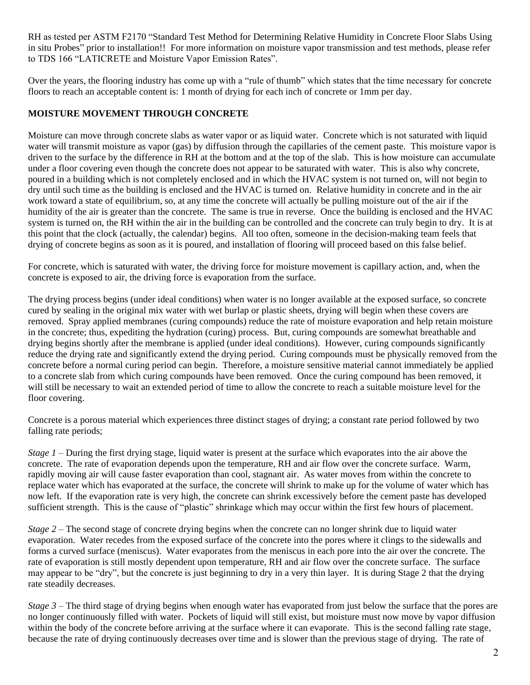RH as tested per ASTM F2170 "Standard Test Method for Determining Relative Humidity in Concrete Floor Slabs Using in situ Probes" prior to installation!! For more information on moisture vapor transmission and test methods, please refer to TDS 166 "LATICRETE and Moisture Vapor Emission Rates".

Over the years, the flooring industry has come up with a "rule of thumb" which states that the time necessary for concrete floors to reach an acceptable content is: 1 month of drying for each inch of concrete or 1mm per day.

# **MOISTURE MOVEMENT THROUGH CONCRETE**

Moisture can move through concrete slabs as water vapor or as liquid water. Concrete which is not saturated with liquid water will transmit moisture as vapor (gas) by diffusion through the capillaries of the cement paste. This moisture vapor is driven to the surface by the difference in RH at the bottom and at the top of the slab. This is how moisture can accumulate under a floor covering even though the concrete does not appear to be saturated with water. This is also why concrete, poured in a building which is not completely enclosed and in which the HVAC system is not turned on, will not begin to dry until such time as the building is enclosed and the HVAC is turned on. Relative humidity in concrete and in the air work toward a state of equilibrium, so, at any time the concrete will actually be pulling moisture out of the air if the humidity of the air is greater than the concrete. The same is true in reverse. Once the building is enclosed and the HVAC system is turned on, the RH within the air in the building can be controlled and the concrete can truly begin to dry. It is at this point that the clock (actually, the calendar) begins. All too often, someone in the decision-making team feels that drying of concrete begins as soon as it is poured, and installation of flooring will proceed based on this false belief.

For concrete, which is saturated with water, the driving force for moisture movement is capillary action, and, when the concrete is exposed to air, the driving force is evaporation from the surface.

The drying process begins (under ideal conditions) when water is no longer available at the exposed surface, so concrete cured by sealing in the original mix water with wet burlap or plastic sheets, drying will begin when these covers are removed. Spray applied membranes (curing compounds) reduce the rate of moisture evaporation and help retain moisture in the concrete; thus, expediting the hydration (curing) process. But, curing compounds are somewhat breathable and drying begins shortly after the membrane is applied (under ideal conditions). However, curing compounds significantly reduce the drying rate and significantly extend the drying period. Curing compounds must be physically removed from the concrete before a normal curing period can begin. Therefore, a moisture sensitive material cannot immediately be applied to a concrete slab from which curing compounds have been removed. Once the curing compound has been removed, it will still be necessary to wait an extended period of time to allow the concrete to reach a suitable moisture level for the floor covering.

Concrete is a porous material which experiences three distinct stages of drying; a constant rate period followed by two falling rate periods;

*Stage 1* – During the first drying stage, liquid water is present at the surface which evaporates into the air above the concrete. The rate of evaporation depends upon the temperature, RH and air flow over the concrete surface. Warm, rapidly moving air will cause faster evaporation than cool, stagnant air. As water moves from within the concrete to replace water which has evaporated at the surface, the concrete will shrink to make up for the volume of water which has now left. If the evaporation rate is very high, the concrete can shrink excessively before the cement paste has developed sufficient strength. This is the cause of "plastic" shrinkage which may occur within the first few hours of placement.

*Stage 2* – The second stage of concrete drying begins when the concrete can no longer shrink due to liquid water evaporation. Water recedes from the exposed surface of the concrete into the pores where it clings to the sidewalls and forms a curved surface (meniscus). Water evaporates from the meniscus in each pore into the air over the concrete. The rate of evaporation is still mostly dependent upon temperature, RH and air flow over the concrete surface. The surface may appear to be "dry", but the concrete is just beginning to dry in a very thin layer. It is during Stage 2 that the drying rate steadily decreases.

*Stage 3* – The third stage of drying begins when enough water has evaporated from just below the surface that the pores are no longer continuously filled with water. Pockets of liquid will still exist, but moisture must now move by vapor diffusion within the body of the concrete before arriving at the surface where it can evaporate. This is the second falling rate stage, because the rate of drying continuously decreases over time and is slower than the previous stage of drying. The rate of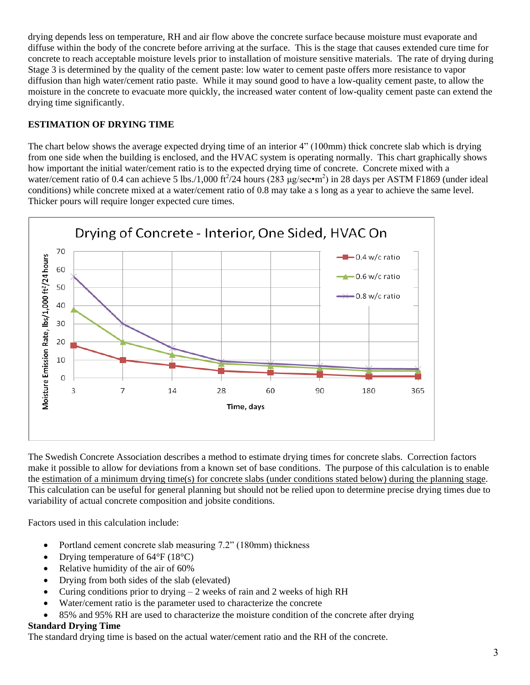drying depends less on temperature, RH and air flow above the concrete surface because moisture must evaporate and diffuse within the body of the concrete before arriving at the surface. This is the stage that causes extended cure time for concrete to reach acceptable moisture levels prior to installation of moisture sensitive materials. The rate of drying during Stage 3 is determined by the quality of the cement paste: low water to cement paste offers more resistance to vapor diffusion than high water/cement ratio paste. While it may sound good to have a low-quality cement paste, to allow the moisture in the concrete to evacuate more quickly, the increased water content of low-quality cement paste can extend the drying time significantly.

# **ESTIMATION OF DRYING TIME**

The chart below shows the average expected drying time of an interior 4" (100mm) thick concrete slab which is drying from one side when the building is enclosed, and the HVAC system is operating normally. This chart graphically shows how important the initial water/cement ratio is to the expected drying time of concrete. Concrete mixed with a water/cement ratio of 0.4 can achieve 5 lbs./1,000 ft $\frac{24}{1}$  hours (283 µg/sec•m<sup>2</sup>) in 28 days per ASTM F1869 (under ideal conditions) while concrete mixed at a water/cement ratio of 0.8 may take a s long as a year to achieve the same level. Thicker pours will require longer expected cure times.



The Swedish Concrete Association describes a method to estimate drying times for concrete slabs. Correction factors make it possible to allow for deviations from a known set of base conditions. The purpose of this calculation is to enable the estimation of a minimum drying time(s) for concrete slabs (under conditions stated below) during the planning stage. This calculation can be useful for general planning but should not be relied upon to determine precise drying times due to variability of actual concrete composition and jobsite conditions.

Factors used in this calculation include:

- Portland cement concrete slab measuring 7.2" (180mm) thickness
- Drying temperature of  $64^{\circ}F(18^{\circ}C)$
- Relative humidity of the air of 60%
- Drying from both sides of the slab (elevated)
- Curing conditions prior to drying  $-2$  weeks of rain and 2 weeks of high RH
- Water/cement ratio is the parameter used to characterize the concrete
- 85% and 95% RH are used to characterize the moisture condition of the concrete after drying

# **Standard Drying Time**

The standard drying time is based on the actual water/cement ratio and the RH of the concrete.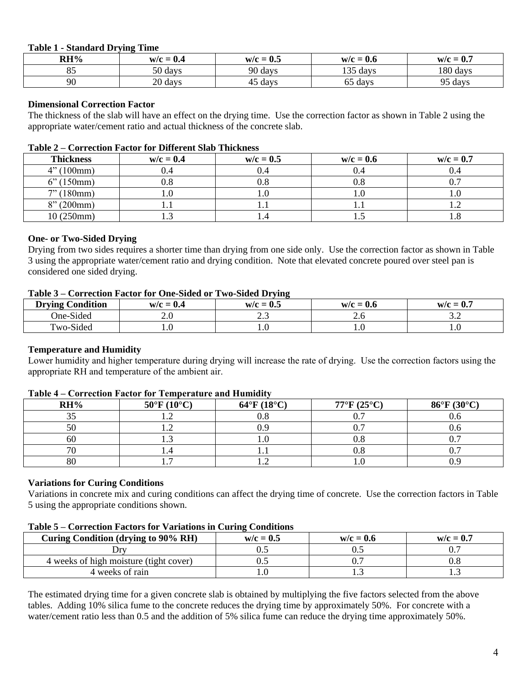#### **Table 1 - Standard Drying Time**

| RH% | $w/c = 0.4$                 | $\mathbf{A}$ $\mathbf{F}$<br>$W/C = 0$<br>$\mathbf{v} \sim$ | $W/C = 0.6$              | W/C<br>- 1<br>$\mathbf{v} \cdot r$ |
|-----|-----------------------------|-------------------------------------------------------------|--------------------------|------------------------------------|
| ັ   | 50<br>days                  | 90 days                                                     | 1.2 <sub>F</sub><br>days | 180 days                           |
| 90  | $\mathcal{D}$<br>days<br>∠∪ | days                                                        | days<br>ნა               | Ω5.<br>days<br>ر ,                 |

#### **Dimensional Correction Factor**

The thickness of the slab will have an effect on the drying time. Use the correction factor as shown in Table 2 using the appropriate water/cement ratio and actual thickness of the concrete slab.

#### **Table 2 – Correction Factor for Different Slab Thickness**

| <b>Thickness</b>         | $w/c = 0.4$ | $w/c = 0.5$ | $w/c = 0.6$ | $w/c = 0.7$ |
|--------------------------|-------------|-------------|-------------|-------------|
| (100mm)<br>$\mathcal{A}$ | 0.4         | J.4         | J.4         |             |
| 150mm)                   | $0.8\,$     | 0.8         | J.8         |             |
| 7" (180mm)               |             |             |             |             |
| 8''(200mm)               |             |             |             | .           |
| 10 (250mm)               | $\cdots$    |             | ⊥ ∙ັ        | .           |

#### **One- or Two-Sided Drying**

Drying from two sides requires a shorter time than drying from one side only. Use the correction factor as shown in Table 3 using the appropriate water/cement ratio and drying condition. Note that elevated concrete poured over steel pan is considered one sided drying.

#### **Table 3 – Correction Factor for One-Sided or Two-Sided Drying**

| <b>Drying Condition</b> | $w/c = 0.4$                        | $w/c = 0.5$ | $w/c = 0.6$     | $w/c = 0.7$                   |
|-------------------------|------------------------------------|-------------|-----------------|-------------------------------|
| One-Sided               | ח ר<br>$\mathcal{L}$ .U            | ر. .        | $\sim$ . $\cup$ | ے . ۔                         |
| $T_{WO-Sided}$          | ſ<br>$\mathbf{u} \cdot \mathbf{v}$ | 1.U         | 1.V             | $\mathbf{1} \cdot \mathbf{V}$ |

## **Temperature and Humidity**

Lower humidity and higher temperature during drying will increase the rate of drying. Use the correction factors using the appropriate RH and temperature of the ambient air.

## **RH% 50°F (10°C) 64°F (18°C) 77°F (25°C) 86°F (30°C)** 35 1.2 0.8 0.7 0.6 50 1.2 0.9 0.7 0.6 60 1.3 1.0 0.8 0.7 70 1.4 1.1 0.8 0.7 80 1.7 1.2 1.0 0.9

#### **Table 4 – Correction Factor for Temperature and Humidity**

#### **Variations for Curing Conditions**

Variations in concrete mix and curing conditions can affect the drying time of concrete. Use the correction factors in Table 5 using the appropriate conditions shown.

#### **Table 5 – Correction Factors for Variations in Curing Conditions**

| Curing Condition (drying to 90% RH)    | $w/c = 0.5$ | $w/c = 0.6$ | $w/c = 0.7$ |
|----------------------------------------|-------------|-------------|-------------|
| Dry                                    |             |             |             |
| 4 weeks of high moisture (tight cover) |             |             |             |
| 4 weeks of rain                        |             | .           |             |

The estimated drying time for a given concrete slab is obtained by multiplying the five factors selected from the above tables. Adding 10% silica fume to the concrete reduces the drying time by approximately 50%. For concrete with a water/cement ratio less than 0.5 and the addition of 5% silica fume can reduce the drying time approximately 50%.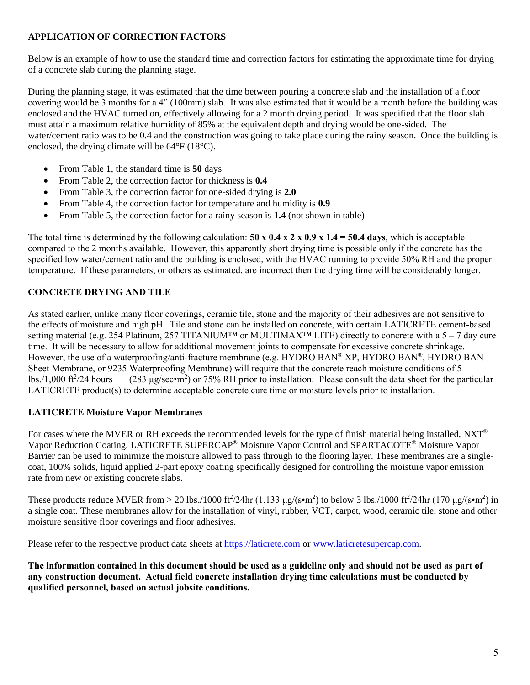## **APPLICATION OF CORRECTION FACTORS**

Below is an example of how to use the standard time and correction factors for estimating the approximate time for drying of a concrete slab during the planning stage.

During the planning stage, it was estimated that the time between pouring a concrete slab and the installation of a floor covering would be 3 months for a 4" (100mm) slab. It was also estimated that it would be a month before the building was enclosed and the HVAC turned on, effectively allowing for a 2 month drying period. It was specified that the floor slab must attain a maximum relative humidity of 85% at the equivalent depth and drying would be one-sided. The water/cement ratio was to be 0.4 and the construction was going to take place during the rainy season. Once the building is enclosed, the drying climate will be 64°F (18°C).

- From Table 1, the standard time is **50** days
- From Table 2, the correction factor for thickness is **0.4**
- From Table 3, the correction factor for one-sided drying is **2.0**
- From Table 4, the correction factor for temperature and humidity is **0.9**
- From Table 5, the correction factor for a rainy season is **1.4** (not shown in table)

The total time is determined by the following calculation: **50 x 0.4 x 2 x 0.9 x 1.4 = 50.4 days**, which is acceptable compared to the 2 months available. However, this apparently short drying time is possible only if the concrete has the specified low water/cement ratio and the building is enclosed, with the HVAC running to provide 50% RH and the proper temperature. If these parameters, or others as estimated, are incorrect then the drying time will be considerably longer.

# **CONCRETE DRYING AND TILE**

As stated earlier, unlike many floor coverings, ceramic tile, stone and the majority of their adhesives are not sensitive to the effects of moisture and high pH. Tile and stone can be installed on concrete, with certain LATICRETE cement-based setting material (e.g. 254 Platinum, 257 TITANIUM<sup>™</sup> or MULTIMAX<sup>™</sup> LITE) directly to concrete with a 5 – 7 day cure time. It will be necessary to allow for additional movement joints to compensate for excessive concrete shrinkage. However, the use of a waterproofing/anti-fracture membrane (e.g. HYDRO BAN® XP, HYDRO BAN®, HYDRO BAN Sheet Membrane, or 9235 Waterproofing Membrane) will require that the concrete reach moisture conditions of 5  $lbs. / 1,000 \text{ ft}^2/24 \text{ hours}$  $(24 \text{ hours}$   $(283 \text{ µg/sec} \cdot \text{m}^2)$  or 75% RH prior to installation. Please consult the data sheet for the particular LATICRETE product(s) to determine acceptable concrete cure time or moisture levels prior to installation.

## **LATICRETE Moisture Vapor Membranes**

For cases where the MVER or RH exceeds the recommended levels for the type of finish material being installed,  $NXT^{\circledcirc}$ Vapor Reduction Coating, LATICRETE SUPERCAP® Moisture Vapor Control and SPARTACOTE® Moisture Vapor Barrier can be used to minimize the moisture allowed to pass through to the flooring layer. These membranes are a singlecoat, 100% solids, liquid applied 2-part epoxy coating specifically designed for controlling the moisture vapor emission rate from new or existing concrete slabs.

These products reduce MVER from > 20 lbs./1000 ft<sup>2</sup>/24hr (1,133  $\mu$ g/(s•m<sup>2</sup>) to below 3 lbs./1000 ft<sup>2</sup>/24hr (170  $\mu$ g/(s•m<sup>2</sup>) in a single coat. These membranes allow for the installation of vinyl, rubber, VCT, carpet, wood, ceramic tile, stone and other moisture sensitive floor coverings and floor adhesives.

Please refer to the respective product data sheets at [https://laticrete.com](https://laticrete.com/) or [www.laticretesupercap.com.](http://www.laticretesupercap.com/)

**The information contained in this document should be used as a guideline only and should not be used as part of any construction document. Actual field concrete installation drying time calculations must be conducted by qualified personnel, based on actual jobsite conditions.**